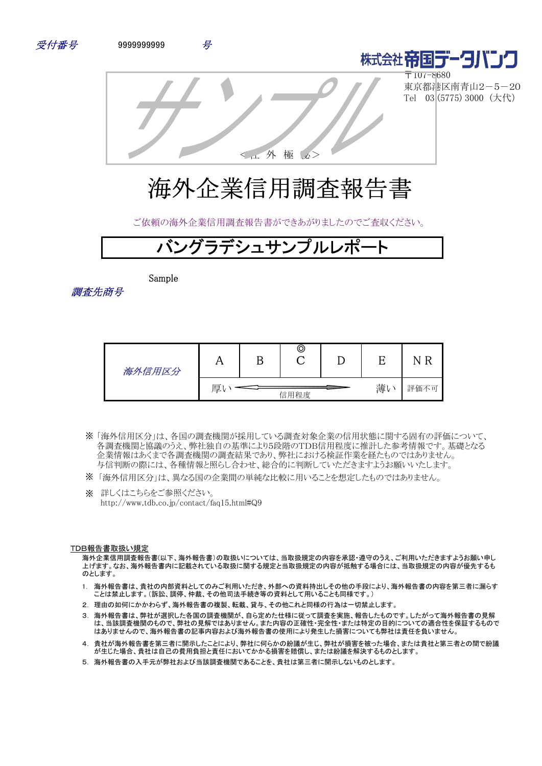



〒107-8680 東京都港区南青山2-5-20 Tel 03 (5775) 3000 (大代)

<社 外 極 秘>

# 海外企業信用調査報告書

ご依頼の海外企業信用調査報告書ができあがりましたのでご査収ください。

# バングラデシュサンプルレポート

Sample

調査先商号

| 海外信用区分 | 77 | ©    |    |      |
|--------|----|------|----|------|
|        | 厚  | 信用程度 | 薄い | 評価不可 |

- 「海外信用区分」は、各国の調査機関が採用している調査対象企業の信用状態に関する固有の評価について、 ※ 各調査機関と協議のうえ、弊社独自の基準により5段階のTDB信用程度に推計した参考情報です。基礎となる 企業情報はあくまで各調査機関の調査結果であり、弊社における検証作業を経たものではありません。 与信判断の際には、各種情報と照らし合わせ、総合的に判断していただきますようお願いいたします。
- ※ 「海外信用区分」は、異なる国の企業間の単純な比較に用いることを想定したものではありません。
- ※ 詳しくはこちらをご参照ください。 http://www.tdb.co.jp/contact/faq15.html#Q9

#### TDB報告書取扱い規定

海外企業信用調査報告書(以下、海外報告書)の取扱いについては、当取扱規定の内容を承認・遵守のうえ、ご利用いただきますようお願い申し 上げます。なお、海外報告書内に記載されている取扱に関する規定と当取扱規定の内容が抵触する場合には、当取扱規定の内容が優先するも のとします。

- 1. 海外報告書は、貴社の内部資料としてのみご利用いただき、外部への資料持出しその他の手段により、海外報告書の内容を第三者に漏らす ことは禁止します。(訴訟、調停、仲裁、その他司法手続き等の資料として用いることも同様です。)
- 2. 理由の如何にかかわらず、海外報告書の複製、転載、貸与、その他これと同様の行為は一切禁止します。
- 3. 海外報告書は、弊社が選択した各国の調査機関が、自ら定めた仕様に従って調査を実施、報告したものです。したがって海外報告書の見解 は、当該調査機関のもので、弊社の見解ではありません。また内容の正確性・完全性・または特定の目的についての適合性を保証するもので はありませんので、海外報告書の記事内容および海外報告書の使用により発生した損害についても弊社は責任を負いません。
- 4. 貴社が海外報告書を第三者に開示したことにより、弊社に何らかの紛議が生じ、弊社が損害を被った場合、または貴社と第三者との間で紛議 が生じた場合、貴社は自己の費用負担と責任においてかかる損害を賠償し、または紛議を解決するものとします。
- 5. 海外報告書の入手元が弊社および当該調査機関であることを、貴社は第三者に開示しないものとします。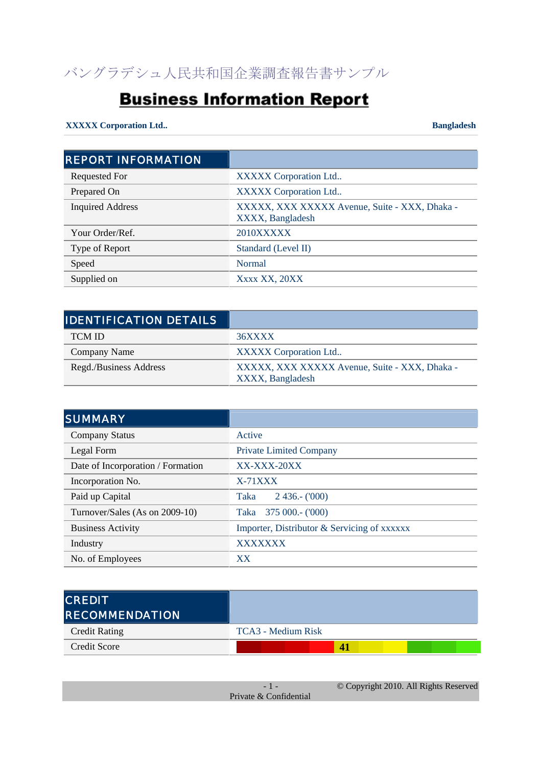# **Business Information Report**

## **XXXXX Corporation Ltd.. Bangladesh**

| <b>REPORT INFORMATION</b> |                                                                   |
|---------------------------|-------------------------------------------------------------------|
| <b>Requested For</b>      | XXXXX Corporation Ltd                                             |
| Prepared On               | XXXXX Corporation Ltd                                             |
| <b>Inquired Address</b>   | XXXXX, XXX XXXXX Avenue, Suite - XXX, Dhaka -<br>XXXX, Bangladesh |
| Your Order/Ref.           | 2010XXXXX                                                         |
| Type of Report            | Standard (Level II)                                               |
| Speed                     | Normal                                                            |
| Supplied on               | Xxxx XX, 20XX                                                     |

| <b>IDENTIFICATION DETAILS</b> |                                                                   |
|-------------------------------|-------------------------------------------------------------------|
| <b>TCM ID</b>                 | 36XXXX                                                            |
| Company Name                  | XXXXX Corporation Ltd                                             |
| Regd./Business Address        | XXXXX, XXX XXXXX Avenue, Suite - XXX, Dhaka -<br>XXXX, Bangladesh |

| <b>SUMMARY</b>                    |                                             |
|-----------------------------------|---------------------------------------------|
| <b>Company Status</b>             | Active                                      |
| Legal Form                        | <b>Private Limited Company</b>              |
| Date of Incorporation / Formation | $XX-XXX-20XX$                               |
| Incorporation No.                 | $X-71XXX$                                   |
| Paid up Capital                   | $2436 - (000)$<br>Taka                      |
| Turnover/Sales (As on 2009-10)    | $375000 - (000)$<br>Taka                    |
| <b>Business Activity</b>          | Importer, Distributor & Servicing of xxxxxx |
| Industry                          | <b>XXXXXXX</b>                              |
| No. of Employees                  | XX                                          |

| <b>CREDIT</b><br><b>IRECOMMENDATION</b> |                    |
|-----------------------------------------|--------------------|
| <b>Credit Rating</b>                    | TCA3 - Medium Risk |
| Credit Score                            | 4                  |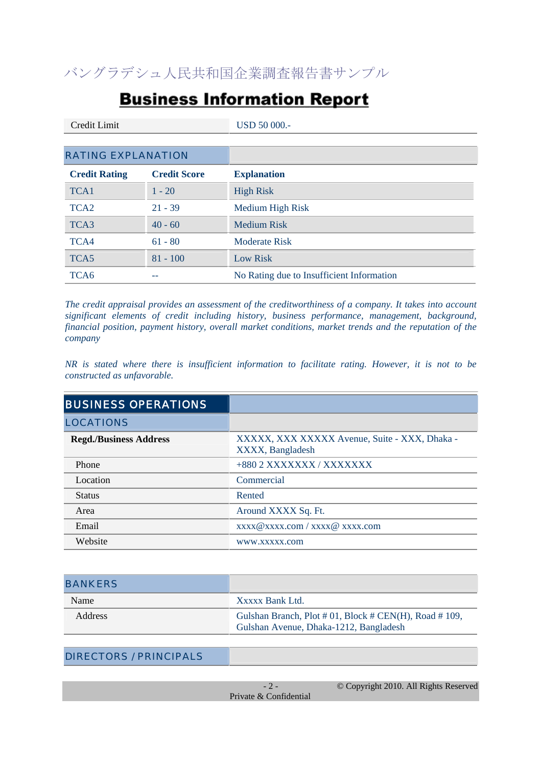# **Business Information Report**

| Credit Limit              |                     | <b>USD 50 000.-</b>                       |
|---------------------------|---------------------|-------------------------------------------|
|                           |                     |                                           |
| <b>RATING EXPLANATION</b> |                     |                                           |
| <b>Credit Rating</b>      | <b>Credit Score</b> | <b>Explanation</b>                        |
| TCA1                      | $1 - 20$            | <b>High Risk</b>                          |
| TCA <sub>2</sub>          | $21 - 39$           | Medium High Risk                          |
| TCA3                      | $40 - 60$           | <b>Medium Risk</b>                        |
| TCA4                      | $61 - 80$           | <b>Moderate Risk</b>                      |
| TCA5                      | $81 - 100$          | Low Risk                                  |
| TCA <sub>6</sub>          | --                  | No Rating due to Insufficient Information |
|                           |                     |                                           |

*The credit appraisal provides an assessment of the creditworthiness of a company. It takes into account significant elements of credit including history, business performance, management, background, financial position, payment history, overall market conditions, market trends and the reputation of the company*

*NR is stated where there is insufficient information to facilitate rating. However, it is not to be constructed as unfavorable.*

| <b>BUSINESS OPERATIONS</b>    |                                                                   |
|-------------------------------|-------------------------------------------------------------------|
| <b>LOCATIONS</b>              |                                                                   |
| <b>Regd./Business Address</b> | XXXXX, XXX XXXXX Avenue, Suite - XXX, Dhaka -<br>XXXX, Bangladesh |
| Phone                         | +880 2 XXXXXXX / XXXXXXX                                          |
| Location                      | Commercial                                                        |
| <b>Status</b>                 | Rented                                                            |
| Area                          | Around XXXX Sq. Ft.                                               |
| Email                         | xxxx@xxxx.com / xxxx@ xxxx.com                                    |
| Website                       | WWW.XXXXX.com                                                     |

| <b>BANKERS</b> |                                                                                                     |
|----------------|-----------------------------------------------------------------------------------------------------|
| Name           | Xxxxx Bank Ltd.                                                                                     |
| <b>Address</b> | Gulshan Branch, Plot # 01, Block # $CEN(H)$ , Road # 109,<br>Gulshan Avenue, Dhaka-1212, Bangladesh |

| <b>DIRECTORS / PRINCIPALS</b> |                        |                                       |
|-------------------------------|------------------------|---------------------------------------|
|                               |                        |                                       |
|                               |                        | © Copyright 2010. All Rights Reserved |
|                               | Private & Confidential |                                       |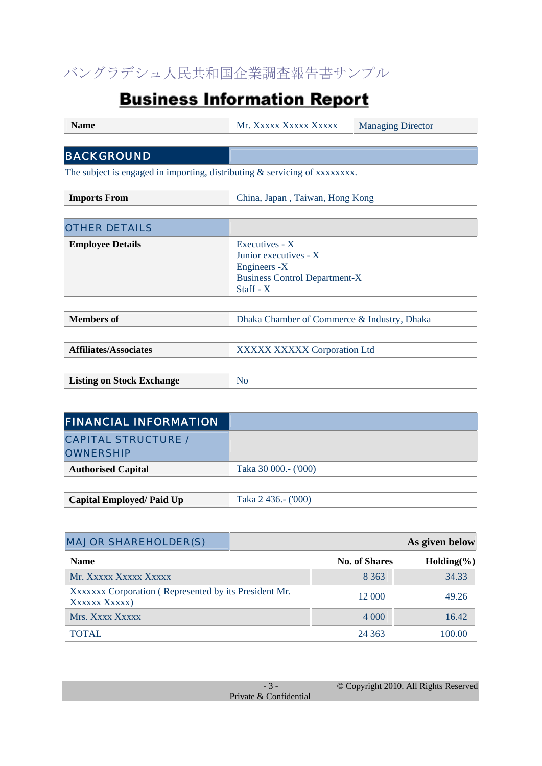# **Business Information Report**

| <b>Name</b>                                                                  | Mr. Xxxxx Xxxxx Xxxxx                                                                                          | <b>Managing Director</b> |  |
|------------------------------------------------------------------------------|----------------------------------------------------------------------------------------------------------------|--------------------------|--|
|                                                                              |                                                                                                                |                          |  |
| <b>BACKGROUND</b>                                                            |                                                                                                                |                          |  |
| The subject is engaged in importing, distributing $&$ servicing of xxxxxxxx. |                                                                                                                |                          |  |
| <b>Imports From</b>                                                          | China, Japan, Taiwan, Hong Kong                                                                                |                          |  |
|                                                                              |                                                                                                                |                          |  |
| <b>OTHER DETAILS</b>                                                         |                                                                                                                |                          |  |
| <b>Employee Details</b>                                                      | Executives - X<br>Junior executives - X<br>Engineers -X<br><b>Business Control Department-X</b><br>Staff - $X$ |                          |  |
| <b>Members</b> of                                                            | Dhaka Chamber of Commerce & Industry, Dhaka                                                                    |                          |  |
| <b>Affiliates/Associates</b>                                                 | XXXXX XXXXX Corporation Ltd                                                                                    |                          |  |
|                                                                              |                                                                                                                |                          |  |
| <b>Listing on Stock Exchange</b>                                             | N <sub>0</sub>                                                                                                 |                          |  |
|                                                                              |                                                                                                                |                          |  |

| <b>FINANCIAL INFORMATION</b>    |                      |
|---------------------------------|----------------------|
| <b>CAPITAL STRUCTURE /</b>      |                      |
| <b>OWNERSHIP</b>                |                      |
| <b>Authorised Capital</b>       | Taka 30 000.- ('000) |
|                                 |                      |
| <b>Capital Employed/Paid Up</b> | Taka 2 436.- ('000)  |

| <b>MAJOR SHAREHOLDER(S)</b>                                            |                      | As given below |
|------------------------------------------------------------------------|----------------------|----------------|
| <b>Name</b>                                                            | <b>No. of Shares</b> | $Holding(\%)$  |
| Mr. Xxxxx Xxxxx Xxxxx                                                  | 8 3 6 3              | 34.33          |
| XXXXXXX Corporation (Represented by its President Mr.<br>XXXXXX XXXXX) | 12 000               | 49.26          |
| Mrs. Xxxx Xxxxx                                                        | 4 0 0 0              | 16.42          |
| TOTAL                                                                  | 24 363               | 100.00         |

|                        | © Copyright 2010. All Rights Reserved |
|------------------------|---------------------------------------|
| Private & Confidential |                                       |